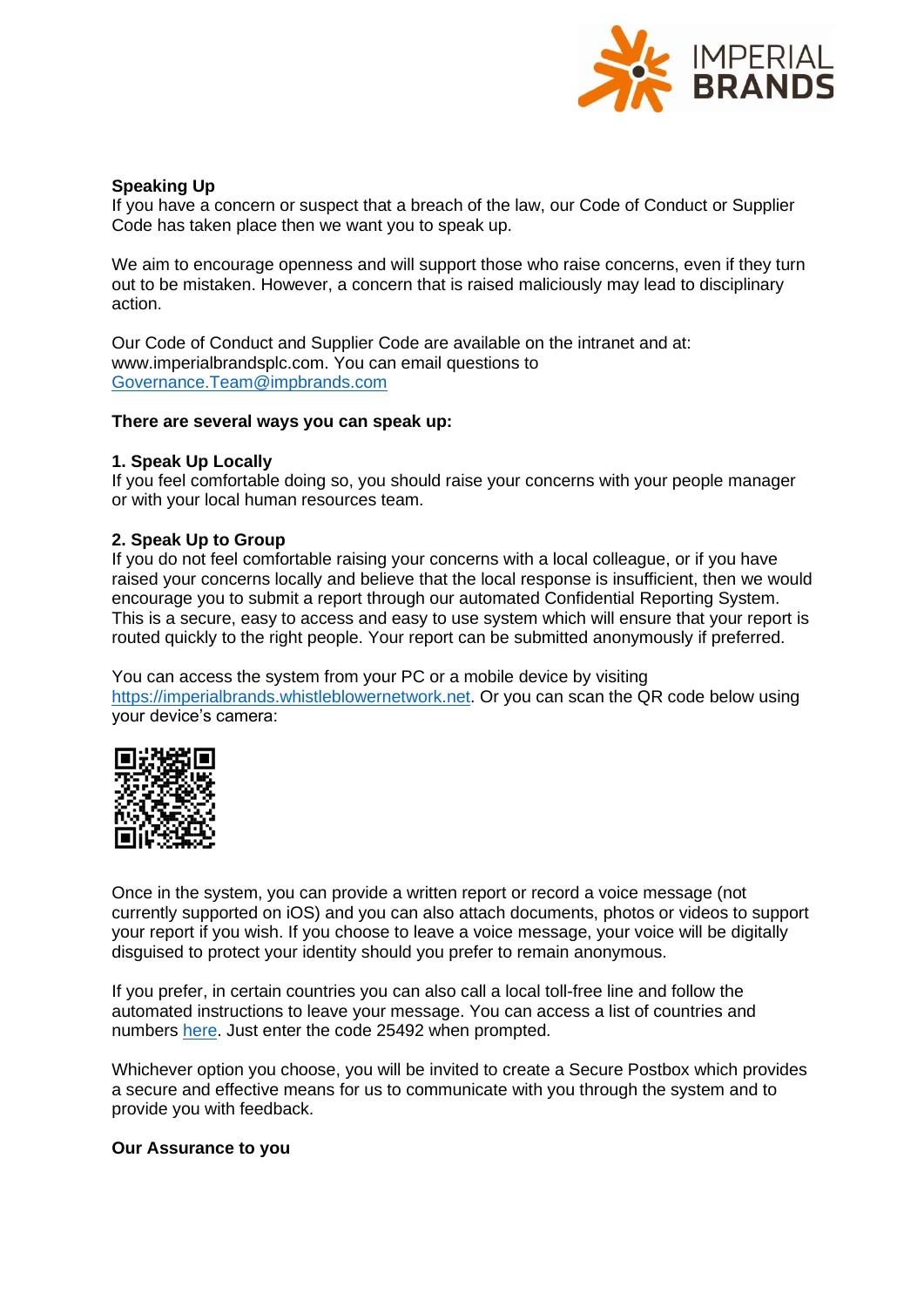

# **Speaking Up**

If you have a concern or suspect that a breach of the law, our Code of Conduct or Supplier Code has taken place then we want you to speak up.

We aim to encourage openness and will support those who raise concerns, even if they turn out to be mistaken. However, a concern that is raised maliciously may lead to disciplinary action.

Our Code of Conduct and Supplier Code are available on the intranet and at: www.imperialbrandsplc.com. You can email questions to [Governance.Team@impbrands.com](mailto:Governance.Team@impbrands.com)

## **There are several ways you can speak up:**

## **1. Speak Up Locally**

If you feel comfortable doing so, you should raise your concerns with your people manager or with your local human resources team.

## **2. Speak Up to Group**

If you do not feel comfortable raising your concerns with a local colleague, or if you have raised your concerns locally and believe that the local response is insufficient, then we would encourage you to submit a report through our automated Confidential Reporting System. This is a secure, easy to access and easy to use system which will ensure that your report is routed quickly to the right people. Your report can be submitted anonymously if preferred.

You can access the system from your PC or a mobile device by visiting [https://imperialbrands.whistleblowernetwork.net.](https://imperialbrands.whistleblowernetwork.net/) Or you can scan the QR code below using your device's camera:



Once in the system, you can provide a written report or record a voice message (not currently supported on iOS) and you can also attach documents, photos or videos to support your report if you wish. If you choose to leave a voice message, your voice will be digitally disguised to protect your identity should you prefer to remain anonymous.

If you prefer, in certain countries you can also call a local toll-free line and follow the automated instructions to leave your message. You can access a list of countries and numbers [here.](https://www.imperialbrandsplc.com/content/dam/imperial-brands/corporate/about-us/governance/speakingup/Speaking%20Up%20Telephone%20Numbers.pdf) Just enter the code 25492 when prompted.

Whichever option you choose, you will be invited to create a Secure Postbox which provides a secure and effective means for us to communicate with you through the system and to provide you with feedback.

### **Our Assurance to you**